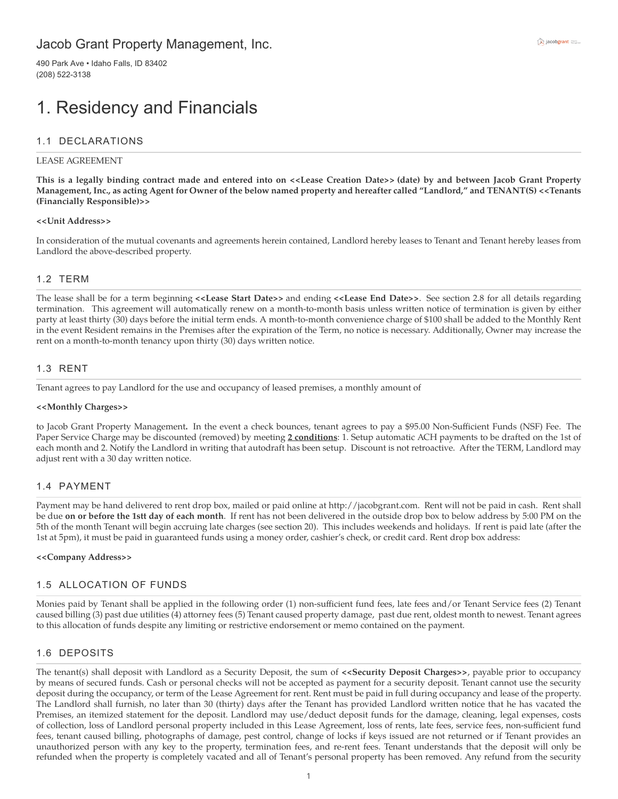## Jacob Grant Property Management, Inc.

490 Park Ave • Idaho Falls, ID 83402 (208) 522-3138

## 1. Residency and Financials

#### 1.1 DECLARATIONS

#### LEASE AGREEMENT

**This is a legally binding contract made and entered into on <<Lease Creation Date>> (date) by and between Jacob Grant Property Management, Inc., as acting Agent for Owner of the below named property and hereafter called "Landlord," and TENANT(S) <<Tenants (Financially Responsible)>>**

#### **<<Unit Address>>**

In consideration of the mutual covenants and agreements herein contained, Landlord hereby leases to Tenant and Tenant hereby leases from Landlord the above-described property.

#### 1.2 TERM

The lease shall be for a term beginning **<<Lease Start Date>>** and ending **<<Lease End Date>>**. See section 2.8 for all details regarding termination. This agreement will automatically renew on a month-to-month basis unless written notice of termination is given by either party at least thirty (30) days before the initial term ends. A month-to-month convenience charge of \$100 shall be added to the Monthly Rent in the event Resident remains in the Premises after the expiration of the Term, no notice is necessary. Additionally, Owner may increase the rent on a month-to-month tenancy upon thirty (30) days written notice.

#### 1.3 RENT

Tenant agrees to pay Landlord for the use and occupancy of leased premises, a monthly amount of

#### **<<Monthly Charges>>**

to Jacob Grant Property Management**.** In the event a check bounces, tenant agrees to pay a \$95.00 Non-Sufficient Funds (NSF) Fee. The Paper Service Charge may be discounted (removed) by meeting **2 conditions**: 1. Setup automatic ACH payments to be drafted on the 1st of each month and 2. Notify the Landlord in writing that autodraft has been setup. Discount is not retroactive. After the TERM, Landlord may adjust rent with a 30 day written notice.

#### 1.4 PAYMENT

Payment may be hand delivered to rent drop box, mailed or paid online at http://jacobgrant.com. Rent will not be paid in cash. Rent shall be due **on or before the 1stt day of each month**. If rent has not been delivered in the outside drop box to below address by 5:00 PM on the 5th of the month Tenant will begin accruing late charges (see section 20). This includes weekends and holidays. If rent is paid late (after the 1st at 5pm), it must be paid in guaranteed funds using a money order, cashier's check, or credit card. Rent drop box address:

#### **<<Company Address>>**

#### 1.5 ALLOCATION OF FUNDS

Monies paid by Tenant shall be applied in the following order (1) non-sufficient fund fees, late fees and/or Tenant Service fees (2) Tenant caused billing (3) past due utilities (4) attorney fees (5) Tenant caused property damage, past due rent, oldest month to newest. Tenant agrees to this allocation of funds despite any limiting or restrictive endorsement or memo contained on the payment.

#### 1.6 DEPOSITS

The tenant(s) shall deposit with Landlord as a Security Deposit, the sum of **<<Security Deposit Charges>>**, payable prior to occupancy by means of secured funds. Cash or personal checks will not be accepted as payment for a security deposit. Tenant cannot use the security deposit during the occupancy, or term of the Lease Agreement for rent. Rent must be paid in full during occupancy and lease of the property. The Landlord shall furnish, no later than 30 (thirty) days after the Tenant has provided Landlord written notice that he has vacated the Premises, an itemized statement for the deposit. Landlord may use/deduct deposit funds for the damage, cleaning, legal expenses, costs of collection, loss of Landlord personal property included in this Lease Agreement, loss of rents, late fees, service fees, non-sufficient fund fees, tenant caused billing, photographs of damage, pest control, change of locks if keys issued are not returned or if Tenant provides an unauthorized person with any key to the property, termination fees, and re-rent fees. Tenant understands that the deposit will only be refunded when the property is completely vacated and all of Tenant's personal property has been removed. Any refund from the security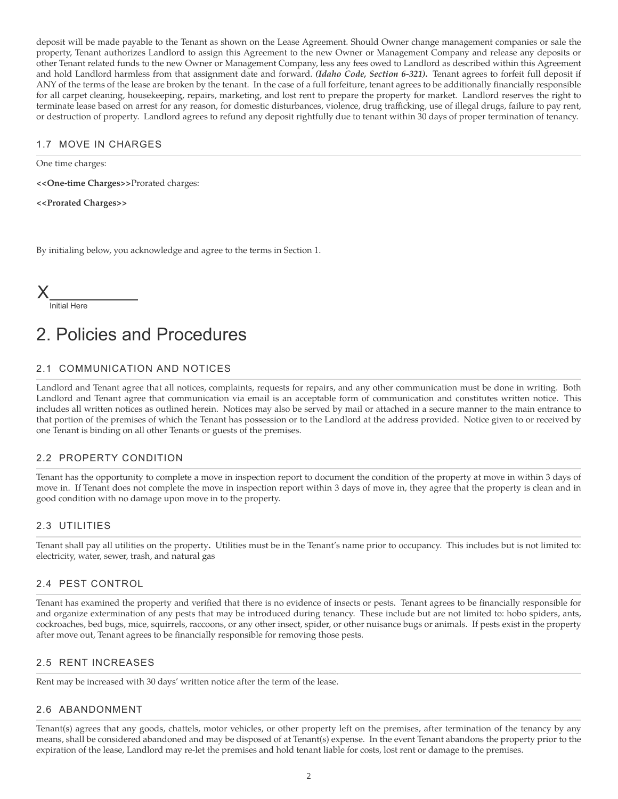deposit will be made payable to the Tenant as shown on the Lease Agreement. Should Owner change management companies or sale the property, Tenant authorizes Landlord to assign this Agreement to the new Owner or Management Company and release any deposits or other Tenant related funds to the new Owner or Management Company, less any fees owed to Landlord as described within this Agreement and hold Landlord harmless from that assignment date and forward. *(Idaho Code, Section 6-321)***.** Tenant agrees to forfeit full deposit if ANY of the terms of the lease are broken by the tenant. In the case of a full forfeiture, tenant agrees to be additionally financially responsible for all carpet cleaning, housekeeping, repairs, marketing, and lost rent to prepare the property for market. Landlord reserves the right to terminate lease based on arrest for any reason, for domestic disturbances, violence, drug trafficking, use of illegal drugs, failure to pay rent, or destruction of property. Landlord agrees to refund any deposit rightfully due to tenant within 30 days of proper termination of tenancy.

### 1.7 MOVE IN CHARGES

One time charges:

**<<One-time Charges>>**Prorated charges:

**<<Prorated Charges>>**

By initialing below, you acknowledge and agree to the terms in Section 1.

| ◢ |              |
|---|--------------|
|   | Initial Here |

# 2. Policies and Procedures

## 2.1 COMMUNICATION AND NOTICES

Landlord and Tenant agree that all notices, complaints, requests for repairs, and any other communication must be done in writing. Both Landlord and Tenant agree that communication via email is an acceptable form of communication and constitutes written notice. This includes all written notices as outlined herein. Notices may also be served by mail or attached in a secure manner to the main entrance to that portion of the premises of which the Tenant has possession or to the Landlord at the address provided. Notice given to or received by one Tenant is binding on all other Tenants or guests of the premises.

## 2.2 PROPERTY CONDITION

Tenant has the opportunity to complete a move in inspection report to document the condition of the property at move in within 3 days of move in. If Tenant does not complete the move in inspection report within 3 days of move in, they agree that the property is clean and in good condition with no damage upon move in to the property.

#### 2.3 UTILITIES

Tenant shall pay all utilities on the property**.** Utilities must be in the Tenant's name prior to occupancy. This includes but is not limited to: electricity, water, sewer, trash, and natural gas

#### 2.4 PEST CONTROL

Tenant has examined the property and verified that there is no evidence of insects or pests. Tenant agrees to be financially responsible for and organize extermination of any pests that may be introduced during tenancy. These include but are not limited to: hobo spiders, ants, cockroaches, bed bugs, mice, squirrels, raccoons, or any other insect, spider, or other nuisance bugs or animals. If pests exist in the property after move out, Tenant agrees to be financially responsible for removing those pests.

#### 2.5 RENT INCREASES

Rent may be increased with 30 days' written notice after the term of the lease.

## 2.6 ABANDONMENT

Tenant(s) agrees that any goods, chattels, motor vehicles, or other property left on the premises, after termination of the tenancy by any means, shall be considered abandoned and may be disposed of at Tenant(s) expense. In the event Tenant abandons the property prior to the expiration of the lease, Landlord may re-let the premises and hold tenant liable for costs, lost rent or damage to the premises.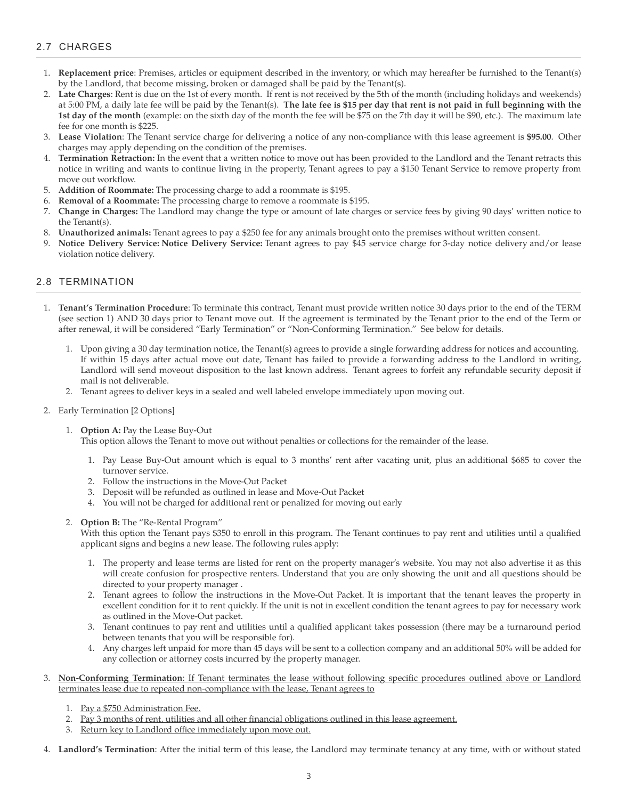## 2.7 CHARGES

- 1. **Replacement price**: Premises, articles or equipment described in the inventory, or which may hereafter be furnished to the Tenant(s) by the Landlord, that become missing, broken or damaged shall be paid by the Tenant(s).
- 2. **Late Charges**: Rent is due on the 1st of every month. If rent is not received by the 5th of the month (including holidays and weekends) at 5:00 PM, a daily late fee will be paid by the Tenant(s). **The late fee is \$15 per day that rent is not paid in full beginning with the 1st day of the month** (example: on the sixth day of the month the fee will be \$75 on the 7th day it will be \$90, etc.). The maximum late fee for one month is \$225.
- 3. **Lease Violation**: The Tenant service charge for delivering a notice of any non-compliance with this lease agreement is **\$95.00**. Other charges may apply depending on the condition of the premises.
- 4. **Termination Retraction:** In the event that a written notice to move out has been provided to the Landlord and the Tenant retracts this notice in writing and wants to continue living in the property, Tenant agrees to pay a \$150 Tenant Service to remove property from move out workflow.
- 5. **Addition of Roommate:** The processing charge to add a roommate is \$195.
- 6. **Removal of a Roommate:** The processing charge to remove a roommate is \$195.
- 7. **Change in Charges:** The Landlord may change the type or amount of late charges or service fees by giving 90 days' written notice to the Tenant(s).
- 8. **Unauthorized animals:** Tenant agrees to pay a \$250 fee for any animals brought onto the premises without written consent.
- 9. **Notice Delivery Service: Notice Delivery Service:** Tenant agrees to pay \$45 service charge for 3-day notice delivery and/or lease violation notice delivery.

#### 2.8 TERMINATION

- 1. **Tenant's Termination Procedure**: To terminate this contract, Tenant must provide written notice 30 days prior to the end of the TERM (see section 1) AND 30 days prior to Tenant move out. If the agreement is terminated by the Tenant prior to the end of the Term or after renewal, it will be considered "Early Termination" or "Non-Conforming Termination." See below for details.
	- 1. Upon giving a 30 day termination notice, the Tenant(s) agrees to provide a single forwarding address for notices and accounting. If within 15 days after actual move out date, Tenant has failed to provide a forwarding address to the Landlord in writing, Landlord will send moveout disposition to the last known address. Tenant agrees to forfeit any refundable security deposit if mail is not deliverable.
	- 2. Tenant agrees to deliver keys in a sealed and well labeled envelope immediately upon moving out.
- 2. Early Termination [2 Options]
	- 1. **Option A:** Pay the Lease Buy-Out

This option allows the Tenant to move out without penalties or collections for the remainder of the lease.

- 1. Pay Lease Buy-Out amount which is equal to 3 months' rent after vacating unit, plus an additional \$685 to cover the turnover service.
- 2. Follow the instructions in the Move-Out Packet
- 3. Deposit will be refunded as outlined in lease and Move-Out Packet
- 4. You will not be charged for additional rent or penalized for moving out early
- 2. **Option B:** The "Re-Rental Program"

With this option the Tenant pays \$350 to enroll in this program. The Tenant continues to pay rent and utilities until a qualified applicant signs and begins a new lease. The following rules apply:

- 1. The property and lease terms are listed for rent on the property manager's website. You may not also advertise it as this will create confusion for prospective renters. Understand that you are only showing the unit and all questions should be directed to your property manager .
- 2. Tenant agrees to follow the instructions in the Move-Out Packet. It is important that the tenant leaves the property in excellent condition for it to rent quickly. If the unit is not in excellent condition the tenant agrees to pay for necessary work as outlined in the Move-Out packet.
- 3. Tenant continues to pay rent and utilities until a qualified applicant takes possession (there may be a turnaround period between tenants that you will be responsible for).
- 4. Any charges left unpaid for more than 45 days will be sent to a collection company and an additional 50% will be added for any collection or attorney costs incurred by the property manager.
- 3. **Non-Conforming Termination**: If Tenant terminates the lease without following specific procedures outlined above or Landlord terminates lease due to repeated non-compliance with the lease, Tenant agrees to
	- 1. Pay a \$750 Administration Fee.
	- Pay 3 months of rent, utilities and all other financial obligations outlined in this lease agreement.
	- 3. Return key to Landlord office immediately upon move out.
- 4. **Landlord's Termination**: After the initial term of this lease, the Landlord may terminate tenancy at any time, with or without stated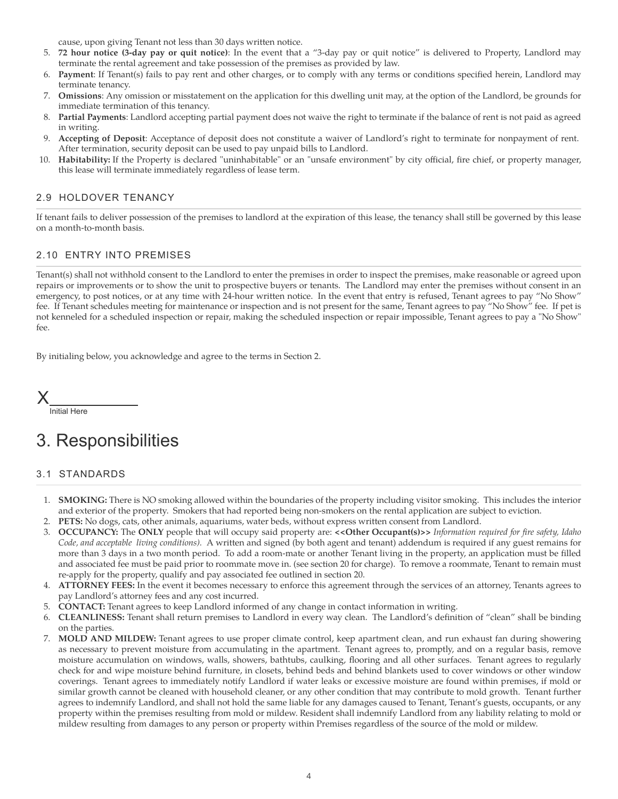cause, upon giving Tenant not less than 30 days written notice.

- 5. **72 hour notice (3-day pay or quit notice)**: In the event that a "3-day pay or quit notice" is delivered to Property, Landlord may terminate the rental agreement and take possession of the premises as provided by law.
- 6. **Payment**: If Tenant(s) fails to pay rent and other charges, or to comply with any terms or conditions specified herein, Landlord may terminate tenancy.
- 7. **Omissions**: Any omission or misstatement on the application for this dwelling unit may, at the option of the Landlord, be grounds for immediate termination of this tenancy.
- 8. **Partial Payments**: Landlord accepting partial payment does not waive the right to terminate if the balance of rent is not paid as agreed in writing.
- 9. **Accepting of Deposit**: Acceptance of deposit does not constitute a waiver of Landlord's right to terminate for nonpayment of rent. After termination, security deposit can be used to pay unpaid bills to Landlord.
- 10. **Habitability:** If the Property is declared "uninhabitable" or an "unsafe environment" by city official, fire chief, or property manager, this lease will terminate immediately regardless of lease term.

### 2.9 HOLDOVER TENANCY

If tenant fails to deliver possession of the premises to landlord at the expiration of this lease, the tenancy shall still be governed by this lease on a month-to-month basis.

### 2.10 ENTRY INTO PREMISES

Tenant(s) shall not withhold consent to the Landlord to enter the premises in order to inspect the premises, make reasonable or agreed upon repairs or improvements or to show the unit to prospective buyers or tenants. The Landlord may enter the premises without consent in an emergency, to post notices, or at any time with 24-hour written notice. In the event that entry is refused, Tenant agrees to pay "No Show" fee. If Tenant schedules meeting for maintenance or inspection and is not present for the same, Tenant agrees to pay "No Show" fee. If pet is not kenneled for a scheduled inspection or repair, making the scheduled inspection or repair impossible, Tenant agrees to pay a "No Show" fee.

By initialing below, you acknowledge and agree to the terms in Section 2.

X

Initial Here

## 3. Responsibilities

#### 3.1 STANDARDS

- 1. **SMOKING:** There is NO smoking allowed within the boundaries of the property including visitor smoking. This includes the interior and exterior of the property. Smokers that had reported being non-smokers on the rental application are subject to eviction.
- 2. **PETS:** No dogs, cats, other animals, aquariums, water beds, without express written consent from Landlord.
- 3. **OCCUPANCY:** The **ONLY** people that will occupy said property are: **<<Other Occupant(s)>>** *Information required for fire safety, Idaho Code, and acceptable living conditions).* A written and signed (by both agent and tenant) addendum is required if any guest remains for more than 3 days in a two month period. To add a room-mate or another Tenant living in the property, an application must be filled and associated fee must be paid prior to roommate move in. (see section 20 for charge). To remove a roommate, Tenant to remain must re-apply for the property, qualify and pay associated fee outlined in section 20.
- 4. **ATTORNEY FEES:** In the event it becomes necessary to enforce this agreement through the services of an attorney, Tenants agrees to pay Landlord's attorney fees and any cost incurred.
- 5. **CONTACT:** Tenant agrees to keep Landlord informed of any change in contact information in writing.
- 6. **CLEANLINESS:** Tenant shall return premises to Landlord in every way clean. The Landlord's definition of "clean" shall be binding on the parties.
- 7. **MOLD AND MILDEW:** Tenant agrees to use proper climate control, keep apartment clean, and run exhaust fan during showering as necessary to prevent moisture from accumulating in the apartment. Tenant agrees to, promptly, and on a regular basis, remove moisture accumulation on windows, walls, showers, bathtubs, caulking, flooring and all other surfaces. Tenant agrees to regularly check for and wipe moisture behind furniture, in closets, behind beds and behind blankets used to cover windows or other window coverings. Tenant agrees to immediately notify Landlord if water leaks or excessive moisture are found within premises, if mold or similar growth cannot be cleaned with household cleaner, or any other condition that may contribute to mold growth. Tenant further agrees to indemnify Landlord, and shall not hold the same liable for any damages caused to Tenant, Tenant's guests, occupants, or any property within the premises resulting from mold or mildew. Resident shall indemnify Landlord from any liability relating to mold or mildew resulting from damages to any person or property within Premises regardless of the source of the mold or mildew.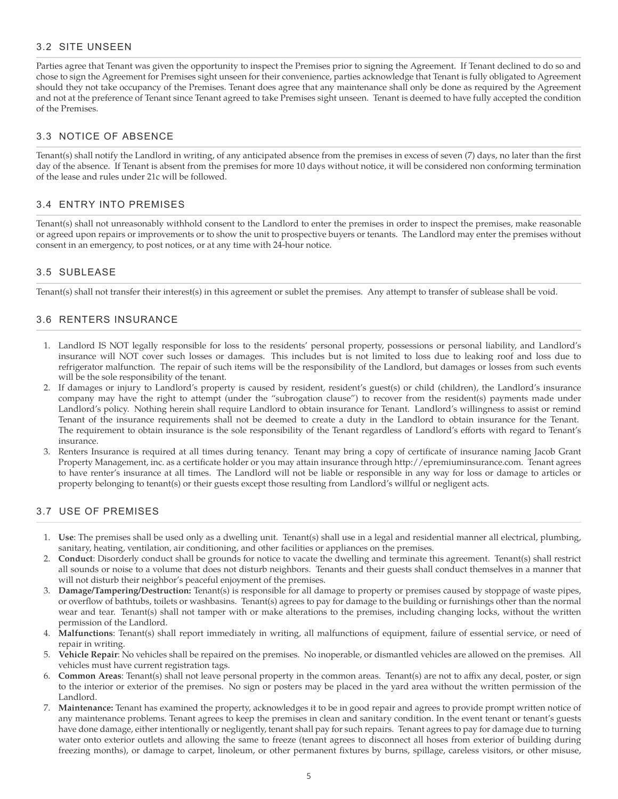### 3.2 SITE UNSEEN

Parties agree that Tenant was given the opportunity to inspect the Premises prior to signing the Agreement. If Tenant declined to do so and chose to sign the Agreement for Premises sight unseen for their convenience, parties acknowledge that Tenant is fully obligated to Agreement should they not take occupancy of the Premises. Tenant does agree that any maintenance shall only be done as required by the Agreement and not at the preference of Tenant since Tenant agreed to take Premises sight unseen. Tenant is deemed to have fully accepted the condition of the Premises.

### 3.3 NOTICE OF ABSENCE

Tenant(s) shall notify the Landlord in writing, of any anticipated absence from the premises in excess of seven (7) days, no later than the first day of the absence. If Tenant is absent from the premises for more 10 days without notice, it will be considered non conforming termination of the lease and rules under 21c will be followed.

#### 3.4 ENTRY INTO PREMISES

Tenant(s) shall not unreasonably withhold consent to the Landlord to enter the premises in order to inspect the premises, make reasonable or agreed upon repairs or improvements or to show the unit to prospective buyers or tenants. The Landlord may enter the premises without consent in an emergency, to post notices, or at any time with 24-hour notice.

#### 3.5 SUBLEASE

Tenant(s) shall not transfer their interest(s) in this agreement or sublet the premises. Any attempt to transfer of sublease shall be void.

### 3.6 RENTERS INSURANCE

- 1. Landlord IS NOT legally responsible for loss to the residents' personal property, possessions or personal liability, and Landlord's insurance will NOT cover such losses or damages. This includes but is not limited to loss due to leaking roof and loss due to refrigerator malfunction. The repair of such items will be the responsibility of the Landlord, but damages or losses from such events will be the sole responsibility of the tenant.
- 2. If damages or injury to Landlord's property is caused by resident, resident's guest(s) or child (children), the Landlord's insurance company may have the right to attempt (under the "subrogation clause") to recover from the resident(s) payments made under Landlord's policy. Nothing herein shall require Landlord to obtain insurance for Tenant. Landlord's willingness to assist or remind Tenant of the insurance requirements shall not be deemed to create a duty in the Landlord to obtain insurance for the Tenant. The requirement to obtain insurance is the sole responsibility of the Tenant regardless of Landlord's efforts with regard to Tenant's insurance.
- 3. Renters Insurance is required at all times during tenancy. Tenant may bring a copy of certificate of insurance naming Jacob Grant Property Management, inc. as a certificate holder or you may attain insurance through http://epremiuminsurance.com. Tenant agrees to have renter's insurance at all times. The Landlord will not be liable or responsible in any way for loss or damage to articles or property belonging to tenant(s) or their guests except those resulting from Landlord's willful or negligent acts.

#### 3.7 USE OF PREMISES

- 1. **Use**: The premises shall be used only as a dwelling unit. Tenant(s) shall use in a legal and residential manner all electrical, plumbing, sanitary, heating, ventilation, air conditioning, and other facilities or appliances on the premises.
- 2. **Conduct**: Disorderly conduct shall be grounds for notice to vacate the dwelling and terminate this agreement. Tenant(s) shall restrict all sounds or noise to a volume that does not disturb neighbors. Tenants and their guests shall conduct themselves in a manner that will not disturb their neighbor's peaceful enjoyment of the premises.
- 3. **Damage/Tampering/Destruction:** Tenant(s) is responsible for all damage to property or premises caused by stoppage of waste pipes, or overflow of bathtubs, toilets or washbasins. Tenant(s) agrees to pay for damage to the building or furnishings other than the normal wear and tear. Tenant(s) shall not tamper with or make alterations to the premises, including changing locks, without the written permission of the Landlord.
- Malfunctions: Tenant(s) shall report immediately in writing, all malfunctions of equipment, failure of essential service, or need of repair in writing.
- 5. **Vehicle Repair**: No vehicles shall be repaired on the premises. No inoperable, or dismantled vehicles are allowed on the premises. All vehicles must have current registration tags.
- **Common Areas**: Tenant(s) shall not leave personal property in the common areas. Tenant(s) are not to affix any decal, poster, or sign to the interior or exterior of the premises. No sign or posters may be placed in the yard area without the written permission of the Landlord.
- 7. **Maintenance:** Tenant has examined the property, acknowledges it to be in good repair and agrees to provide prompt written notice of any maintenance problems. Tenant agrees to keep the premises in clean and sanitary condition. In the event tenant or tenant's guests have done damage, either intentionally or negligently, tenant shall pay for such repairs. Tenant agrees to pay for damage due to turning water onto exterior outlets and allowing the same to freeze (tenant agrees to disconnect all hoses from exterior of building during freezing months), or damage to carpet, linoleum, or other permanent fixtures by burns, spillage, careless visitors, or other misuse,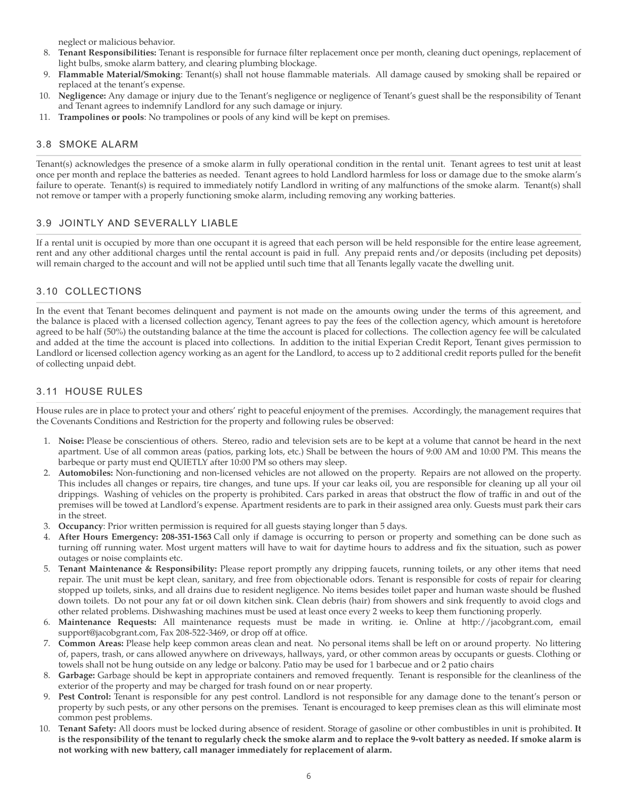neglect or malicious behavior.

- 8. **Tenant Responsibilities:** Tenant is responsible for furnace filter replacement once per month, cleaning duct openings, replacement of light bulbs, smoke alarm battery, and clearing plumbing blockage.
- 9. **Flammable Material/Smoking**: Tenant(s) shall not house flammable materials. All damage caused by smoking shall be repaired or replaced at the tenant's expense.
- 10. **Negligence:** Any damage or injury due to the Tenant's negligence or negligence of Tenant's guest shall be the responsibility of Tenant and Tenant agrees to indemnify Landlord for any such damage or injury.
- 11. **Trampolines or pools**: No trampolines or pools of any kind will be kept on premises.

#### 3.8 SMOKE ALARM

Tenant(s) acknowledges the presence of a smoke alarm in fully operational condition in the rental unit. Tenant agrees to test unit at least once per month and replace the batteries as needed. Tenant agrees to hold Landlord harmless for loss or damage due to the smoke alarm's failure to operate. Tenant(s) is required to immediately notify Landlord in writing of any malfunctions of the smoke alarm. Tenant(s) shall not remove or tamper with a properly functioning smoke alarm, including removing any working batteries.

#### 3.9 JOINTLY AND SEVERALLY LIABLE

If a rental unit is occupied by more than one occupant it is agreed that each person will be held responsible for the entire lease agreement, rent and any other additional charges until the rental account is paid in full. Any prepaid rents and/or deposits (including pet deposits) will remain charged to the account and will not be applied until such time that all Tenants legally vacate the dwelling unit.

### 3.10 COLLECTIONS

In the event that Tenant becomes delinquent and payment is not made on the amounts owing under the terms of this agreement, and the balance is placed with a licensed collection agency, Tenant agrees to pay the fees of the collection agency, which amount is heretofore agreed to be half (50%) the outstanding balance at the time the account is placed for collections. The collection agency fee will be calculated and added at the time the account is placed into collections. In addition to the initial Experian Credit Report, Tenant gives permission to Landlord or licensed collection agency working as an agent for the Landlord, to access up to 2 additional credit reports pulled for the benefit of collecting unpaid debt.

#### 3.11 HOUSE RULES

House rules are in place to protect your and others' right to peaceful enjoyment of the premises. Accordingly, the management requires that the Covenants Conditions and Restriction for the property and following rules be observed:

- 1. **Noise:** Please be conscientious of others. Stereo, radio and television sets are to be kept at a volume that cannot be heard in the next apartment. Use of all common areas (patios, parking lots, etc.) Shall be between the hours of 9:00 AM and 10:00 PM. This means the barbeque or party must end QUIETLY after 10:00 PM so others may sleep.
- 2. **Automobiles:** Non-functioning and non-licensed vehicles are not allowed on the property. Repairs are not allowed on the property. This includes all changes or repairs, tire changes, and tune ups. If your car leaks oil, you are responsible for cleaning up all your oil drippings. Washing of vehicles on the property is prohibited. Cars parked in areas that obstruct the flow of traffic in and out of the premises will be towed at Landlord's expense. Apartment residents are to park in their assigned area only. Guests must park their cars in the street.
- 3. **Occupancy**: Prior written permission is required for all guests staying longer than 5 days.
- 4. **After Hours Emergency: 208-351-1563** Call only if damage is occurring to person or property and something can be done such as turning off running water. Most urgent matters will have to wait for daytime hours to address and fix the situation, such as power outages or noise complaints etc.
- 5. **Tenant Maintenance & Responsibility:** Please report promptly any dripping faucets, running toilets, or any other items that need repair. The unit must be kept clean, sanitary, and free from objectionable odors. Tenant is responsible for costs of repair for clearing stopped up toilets, sinks, and all drains due to resident negligence. No items besides toilet paper and human waste should be flushed down toilets. Do not pour any fat or oil down kitchen sink. Clean debris (hair) from showers and sink frequently to avoid clogs and other related problems. Dishwashing machines must be used at least once every 2 weeks to keep them functioning properly.
- 6. **Maintenance Requests:** All maintenance requests must be made in writing. ie. Online at http://jacobgrant.com, email support@jacobgrant.com, Fax 208-522-3469, or drop off at office.
- 7. **Common Areas:** Please help keep common areas clean and neat. No personal items shall be left on or around property. No littering of, papers, trash, or cans allowed anywhere on driveways, hallways, yard, or other common areas by occupants or guests. Clothing or towels shall not be hung outside on any ledge or balcony. Patio may be used for 1 barbecue and or 2 patio chairs
- 8. **Garbage:** Garbage should be kept in appropriate containers and removed frequently. Tenant is responsible for the cleanliness of the exterior of the property and may be charged for trash found on or near property.
- 9. **Pest Control:** Tenant is responsible for any pest control. Landlord is not responsible for any damage done to the tenant's person or property by such pests, or any other persons on the premises. Tenant is encouraged to keep premises clean as this will eliminate most common pest problems.
- 10. **Tenant Safety:** All doors must be locked during absence of resident. Storage of gasoline or other combustibles in unit is prohibited. **It is the responsibility of the tenant to regularly check the smoke alarm and to replace the 9-volt battery as needed. If smoke alarm is not working with new battery, call manager immediately for replacement of alarm.**